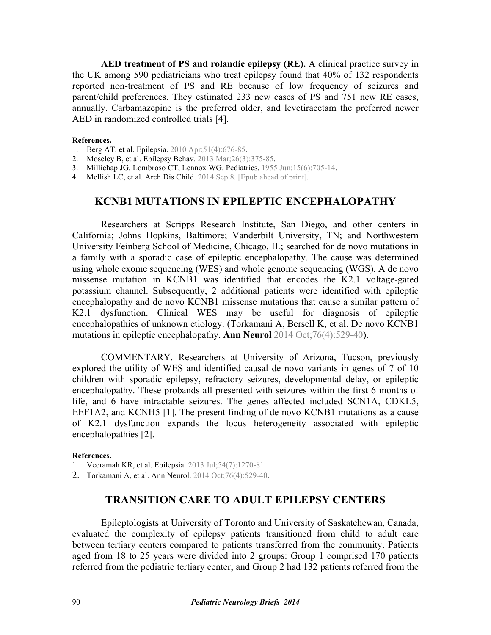**AED treatment of PS and rolandic epilepsy (RE).** A clinical practice survey in the UK among 590 pediatricians who treat epilepsy found that 40% of 132 respondents reported non-treatment of PS and RE because of low frequency of seizures and parent/child preferences. They estimated 233 new cases of PS and 751 new RE cases, annually. Carbamazepine is the preferred older, and levetiracetam the preferred newer AED in randomized controlled trials [4].

#### **References.**

- 1. [Berg AT, et al. Epilepsia. 2010 Apr;51\(4\):676-85](http://dx.doi.org/10.1111/j.1528-1167.2010.02522.x).
- 2. Moseley B, et al. [Epilepsy Behav. 2013 Mar;26\(3\):375-85](http://dx.doi.org/10.1016/j.yebeh.2012.08.020).
- 3. [Millichap JG, Lombroso CT, Lennox WG. Pediatrics. 1955 Jun;15\(6\):705-14.](http://pediatrics.aappublications.org/content/15/6/705.abstract)
- 4. Mellish LC, et al. [Arch Dis Child. 2014 Sep 8. \[Epub ahead of print\].](http://dx.doi.org/10.1136/archdischild-2013-304211)

# **KCNB1 MUTATIONS IN EPILEPTIC ENCEPHALOPATHY**

 Researchers at Scripps Research Institute, San Diego, and other centers in California; Johns Hopkins, Baltimore; Vanderbilt University, TN; and Northwestern University Feinberg School of Medicine, Chicago, IL; searched for de novo mutations in a family with a sporadic case of epileptic encephalopathy. The cause was determined using whole exome sequencing (WES) and whole genome sequencing (WGS). A de novo missense mutation in KCNB1 was identified that encodes the K2.1 voltage-gated potassium channel. Subsequently, 2 additional patients were identified with epileptic encephalopathy and de novo KCNB1 missense mutations that cause a similar pattern of K2.1 dysfunction. Clinical WES may be useful for diagnosis of epileptic [encephalopathies of unknown etiology.](http://dx.doi.org/10.1002/ana.24263) (Torkamani A, Bersell K, et al. De novo KCNB1 mutations in epileptic encephalopathy. **Ann Neurol** 2014 Oct;76(4):529-40).

 COMMENTARY. Researchers at University of Arizona, Tucson, previously explored the utility of WES and identified causal de novo variants in genes of 7 of 10 children with sporadic epilepsy, refractory seizures, developmental delay, or epileptic encephalopathy. These probands all presented with seizures within the first 6 months of life, and 6 have intractable seizures. The genes affected included SCN1A, CDKL5, EEF1A2, and KCNH5 [1]. The present finding of de novo KCNB1 mutations as a cause of K2.1 dysfunction expands the locus heterogeneity associated with epileptic encephalopathies [2].

#### **References.**

1. Veeramah KR, et al. [Epilepsia. 2013 Jul;54\(7\):1270-81](http://dx.doi.org/10.1111/epi.12201).

2. Torkamani A, et al. [Ann Neurol. 2014 Oct;76\(4\):529-40.](http://dx.doi.org/10.1002/ana.24263)

# **TRANSITION CARE TO ADULT EPILEPSY CENTERS**

Epileptologists at University of Toronto and University of Saskatchewan, Canada, evaluated the complexity of epilepsy patients transitioned from child to adult care between tertiary centers compared to patients transferred from the community. Patients aged from 18 to 25 years were divided into 2 groups: Group 1 comprised 170 patients referred from the pediatric tertiary center; and Group 2 had 132 patients referred from the